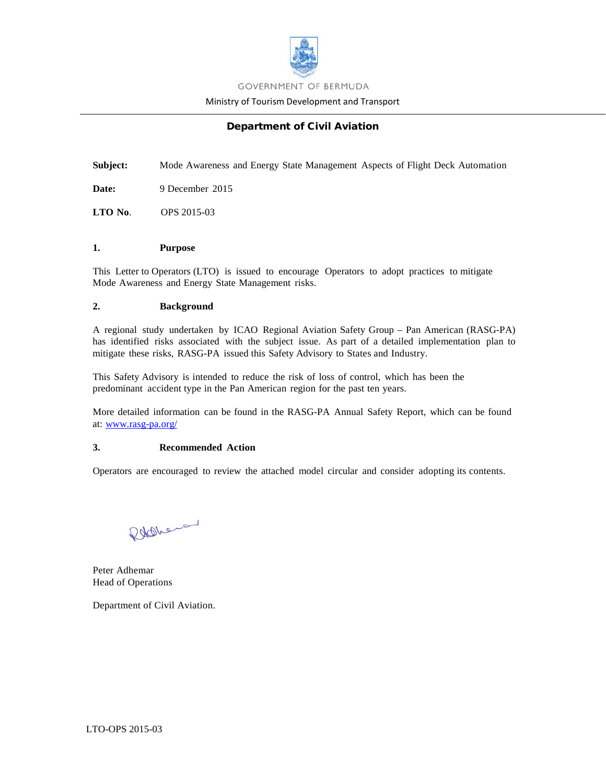

Ministry of Tourism Development and Transport

# Department of Civil Aviation

**Subject:** Mode Awareness and Energy State Management Aspects of Flight Deck Automation

**Date:** 9 December 2015

**LTO No**. OPS 2015-03

#### **1. Purpose**

This Letter to Operators (LTO) is issued to encourage Operators to adopt practices to mitigate Mode Awareness and Energy State Management risks.

#### **2. Background**

A regional study undertaken by ICAO Regional Aviation Safety Group – Pan American (RASG-PA) has identified risks associated with the subject issue. As part of a detailed implementation plan to mitigate these risks, RASG-PA issued this Safety Advisory to States and Industry.

This Safety Advisory is intended to reduce the risk of loss of control, which has been the predominant accident type in the Pan American region for the past ten years.

More detailed information can be found in the RASG-PA Annual Safety Report, which can be found at: [www.rasg-pa.org/](http://www.rasg-pa.org/)

#### **3. Recommended Action**

Operators are encouraged to review the attached model circular and consider adopting its contents.

Robbera

Peter Adhemar Head of Operations

Department of Civil Aviation.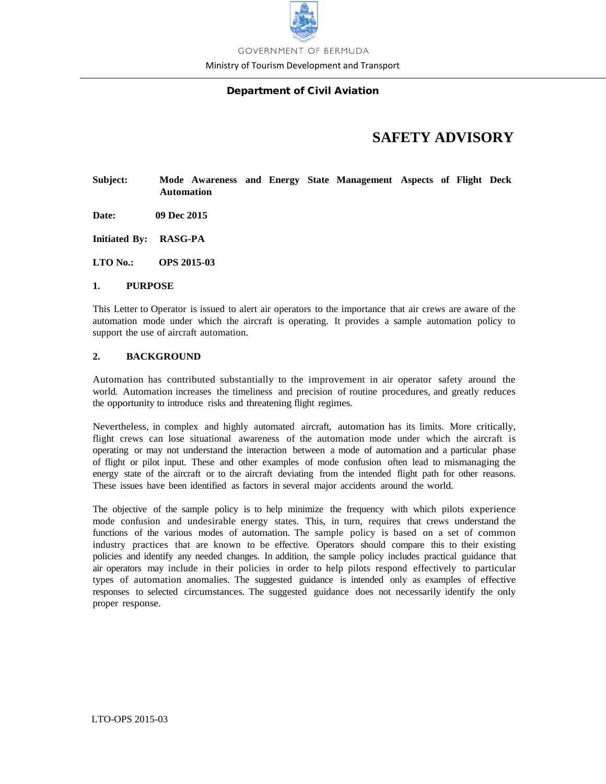

Ministry of Tourism Development and Transport

# Department of Civil Aviation

# **SAFETY ADVISORY**

# **Subject: Mode Awareness and Energy State Management Aspects of Flight Deck Automation**

- **Date: 09 Dec 2015**
- **Initiated By: RASG-PA**
- **LTO No.: OPS 2015-03**

#### **1. PURPOSE**

This Letter to Operator is issued to alert air operators to the importance that air crews are aware of the automation mode under which the aircraft is operating. It provides a sample automation policy to support the use of aircraft automation.

#### **2. BACKGROUND**

Automation has contributed substantially to the improvement in air operator safety around the world. Automation increases the timeliness and precision of routine procedures, and greatly reduces the opportunity to introduce risks and threatening flight regimes.

Nevertheless, in complex and highly automated aircraft, automation has its limits. More critically, flight crews can lose situational awareness of the automation mode under which the aircraft is operating or may not understand the interaction between a mode of automation and a particular phase of flight or pilot input. These and other examples of mode confusion often lead to mismanaging the energy state of the aircraft or to the aircraft deviating from the intended flight path for other reasons. These issues have been identified as factors in several major accidents around the world.

The objective of the sample policy is to help minimize the frequency with which pilots experience mode confusion and undesirable energy states. This, in turn, requires that crews understand the functions of the various modes of automation. The sample policy is based on a set of common industry practices that are known to be effective. Operators should compare this to their existing policies and identify any needed changes. In addition, the sample policy includes practical guidance that air operators may include in their policies in order to help pilots respond effectively to particular types of automation anomalies. The suggested guidance is intended only as examples of effective responses to selected circumstances. The suggested guidance does not necessarily identify the only proper response.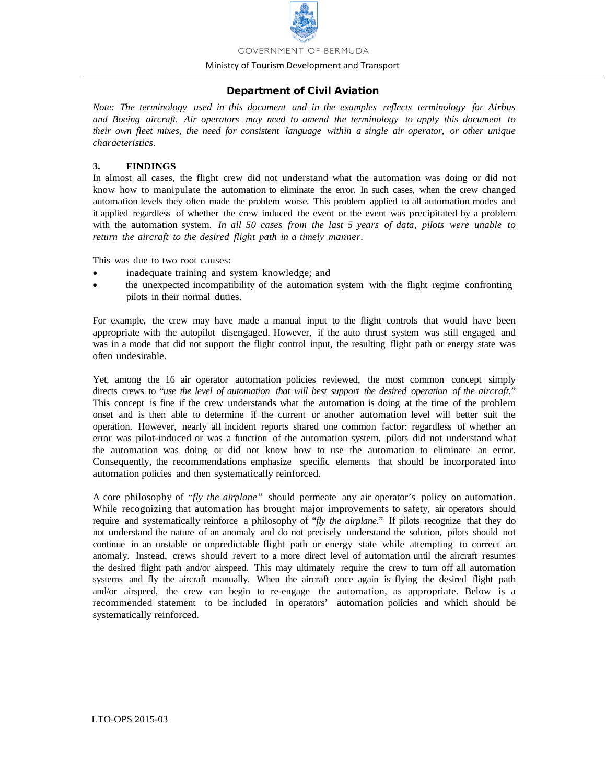

#### Ministry of Tourism Development and Transport

#### Department of Civil Aviation

*Note: The terminology used in this document and in the examples reflects terminology for Airbus and Boeing aircraft. Air operators may need to amend the terminology to apply this document to their own fleet mixes, the need for consistent language within a single air operator, or other unique characteristics.*

#### **3. FINDINGS**

In almost all cases, the flight crew did not understand what the automation was doing or did not know how to manipulate the automation to eliminate the error. In such cases, when the crew changed automation levels they often made the problem worse. This problem applied to all automation modes and it applied regardless of whether the crew induced the event or the event was precipitated by a problem with the automation system. *In all 50 cases from the last 5 years of data, pilots were unable to return the aircraft to the desired flight path in a timely manner*.

This was due to two root causes:

- inadequate training and system knowledge; and
- the unexpected incompatibility of the automation system with the flight regime confronting pilots in their normal duties.

For example, the crew may have made a manual input to the flight controls that would have been appropriate with the autopilot disengaged. However, if the auto thrust system was still engaged and was in a mode that did not support the flight control input, the resulting flight path or energy state was often undesirable.

Yet, among the 16 air operator automation policies reviewed, the most common concept simply directs crews to "*use the level of automation that will best support the desired operation of the aircraft.*" This concept is fine if the crew understands what the automation is doing at the time of the problem onset and is then able to determine if the current or another automation level will better suit the operation. However, nearly all incident reports shared one common factor: regardless of whether an error was pilot-induced or was a function of the automation system, pilots did not understand what the automation was doing or did not know how to use the automation to eliminate an error. Consequently, the recommendations emphasize specific elements that should be incorporated into automation policies and then systematically reinforced.

A core philosophy of *"fly the airplane"* should permeate any air operator's policy on automation. While recognizing that automation has brought major improvements to safety, air operators should require and systematically reinforce a philosophy of "*fly the airplane*." If pilots recognize that they do not understand the nature of an anomaly and do not precisely understand the solution, pilots should not continue in an unstable or unpredictable flight path or energy state while attempting to correct an anomaly. Instead, crews should revert to a more direct level of automation until the aircraft resumes the desired flight path and/or airspeed. This may ultimately require the crew to turn off all automation systems and fly the aircraft manually. When the aircraft once again is flying the desired flight path and/or airspeed, the crew can begin to re-engage the automation, as appropriate. Below is a recommended statement to be included in operators' automation policies and which should be systematically reinforced.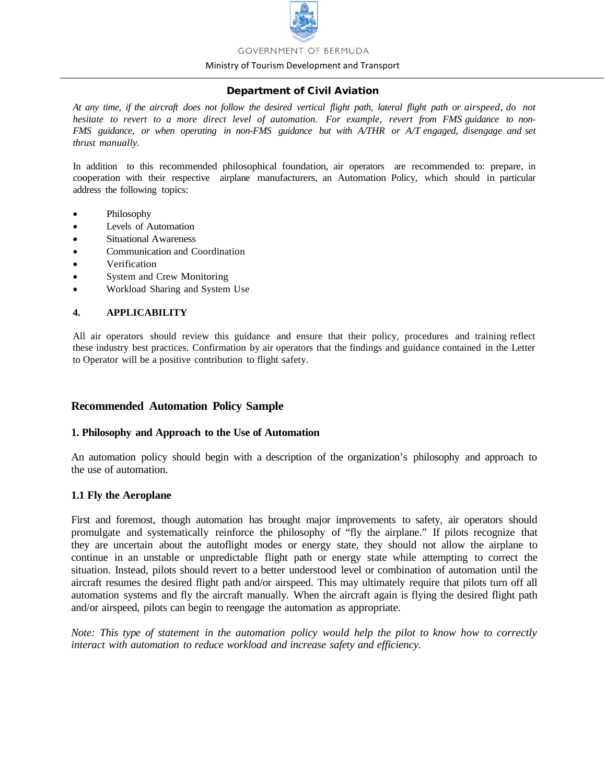

#### Ministry of Tourism Development and Transport

### Department of Civil Aviation

At any time, if the aircraft does not follow the desired vertical flight path, lateral flight path or airspeed, do not *hesitate to revert to a more direct level of automation. For example, revert from FMS guidance to non-FMS guidance, or when operating in non-FMS guidance but with A/THR or A/T engaged, disengage and set thrust manually.*

In addition to this recommended philosophical foundation, air operators are recommended to: prepare, in cooperation with their respective airplane manufacturers, an Automation Policy, which should in particular address the following topics:

- Philosophy
- Levels of Automation
- Situational Awareness
- Communication and Coordination
- Verification
- System and Crew Monitoring
- Workload Sharing and System Use

#### **4. APPLICABILITY**

All air operators should review this guidance and ensure that their policy, procedures and training reflect these industry best practices. Confirmation by air operators that the findings and guidance contained in the Letter to Operator will be a positive contribution to flight safety.

# **Recommended Automation Policy Sample**

#### **1. Philosophy and Approach to the Use of Automation**

An automation policy should begin with a description of the organization's philosophy and approach to the use of automation.

#### **1.1 Fly the Aeroplane**

First and foremost, though automation has brought major improvements to safety, air operators should promulgate and systematically reinforce the philosophy of "fly the airplane." If pilots recognize that they are uncertain about the autoflight modes or energy state, they should not allow the airplane to continue in an unstable or unpredictable flight path or energy state while attempting to correct the situation. Instead, pilots should revert to a better understood level or combination of automation until the aircraft resumes the desired flight path and/or airspeed. This may ultimately require that pilots turn off all automation systems and fly the aircraft manually. When the aircraft again is flying the desired flight path and/or airspeed, pilots can begin to reengage the automation as appropriate.

*Note: This type of statement in the automation policy would help the pilot to know how to correctly interact with automation to reduce workload and increase safety and efficiency.*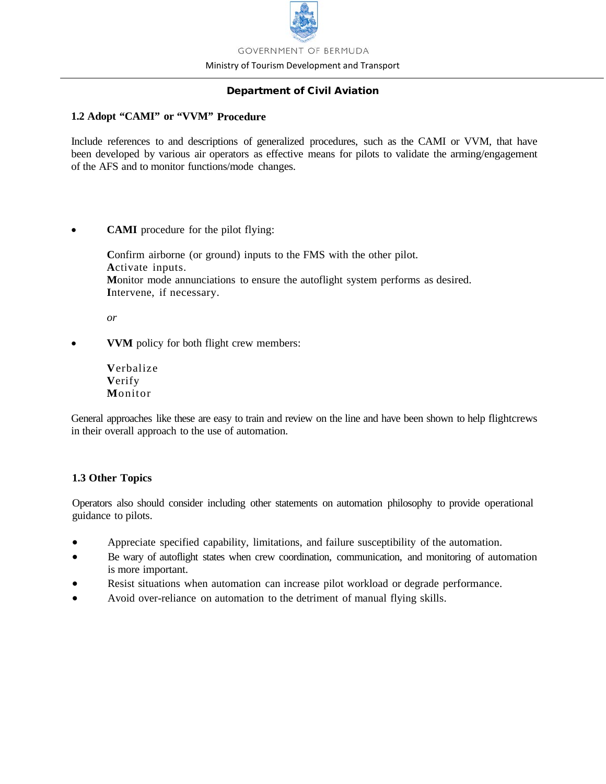

Ministry of Tourism Development and Transport

# Department of Civil Aviation

# **1.2 Adopt "CAMI" or "VVM" Procedure**

Include references to and descriptions of generalized procedures, such as the CAMI or VVM, that have been developed by various air operators as effective means for pilots to validate the arming/engagement of the AFS and to monitor functions/mode changes.

• **CAMI** procedure for the pilot flying:

Confirm airborne (or ground) inputs to the FMS with the other pilot. **A**ctivate inputs. **M**onitor mode annunciations to ensure the autoflight system performs as desired. **I**ntervene, if necessary.

*or*

- **VVM** policy for both flight crew members:
	- **V**erbalize **V**erify **M**onitor

General approaches like these are easy to train and review on the line and have been shown to help flightcrews in their overall approach to the use of automation.

# **1.3 Other Topics**

Operators also should consider including other statements on automation philosophy to provide operational guidance to pilots.

- Appreciate specified capability, limitations, and failure susceptibility of the automation.
- Be wary of autoflight states when crew coordination, communication, and monitoring of automation is more important.
- Resist situations when automation can increase pilot workload or degrade performance.
- Avoid over-reliance on automation to the detriment of manual flying skills.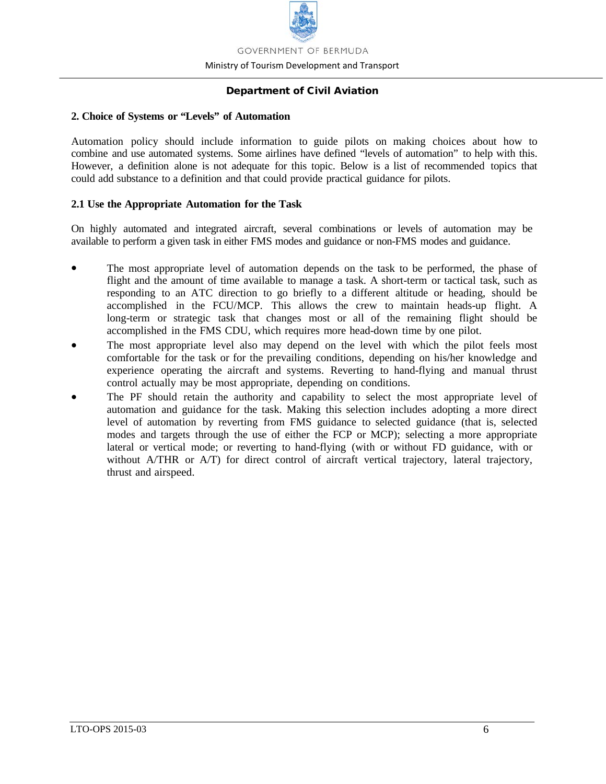

Ministry of Tourism Development and Transport

# Department of Civil Aviation

# **2. Choice of Systems or "Levels" of Automation**

Automation policy should include information to guide pilots on making choices about how to combine and use automated systems. Some airlines have defined "levels of automation" to help with this. However, a definition alone is not adequate for this topic. Below is a list of recommended topics that could add substance to a definition and that could provide practical guidance for pilots.

# **2.1 Use the Appropriate Automation for the Task**

On highly automated and integrated aircraft, several combinations or levels of automation may be available to perform a given task in either FMS modes and guidance or non-FMS modes and guidance.

- The most appropriate level of automation depends on the task to be performed, the phase of flight and the amount of time available to manage a task. A short-term or tactical task, such as responding to an ATC direction to go briefly to a different altitude or heading, should be accomplished in the FCU/MCP. This allows the crew to maintain heads-up flight. A long-term or strategic task that changes most or all of the remaining flight should be accomplished in the FMS CDU, which requires more head-down time by one pilot.
- The most appropriate level also may depend on the level with which the pilot feels most comfortable for the task or for the prevailing conditions, depending on his/her knowledge and experience operating the aircraft and systems. Reverting to hand-flying and manual thrust control actually may be most appropriate, depending on conditions.
- The PF should retain the authority and capability to select the most appropriate level of automation and guidance for the task. Making this selection includes adopting a more direct level of automation by reverting from FMS guidance to selected guidance (that is, selected modes and targets through the use of either the FCP or MCP); selecting a more appropriate lateral or vertical mode; or reverting to hand-flying (with or without FD guidance, with or without A/THR or A/T) for direct control of aircraft vertical trajectory, lateral trajectory, thrust and airspeed.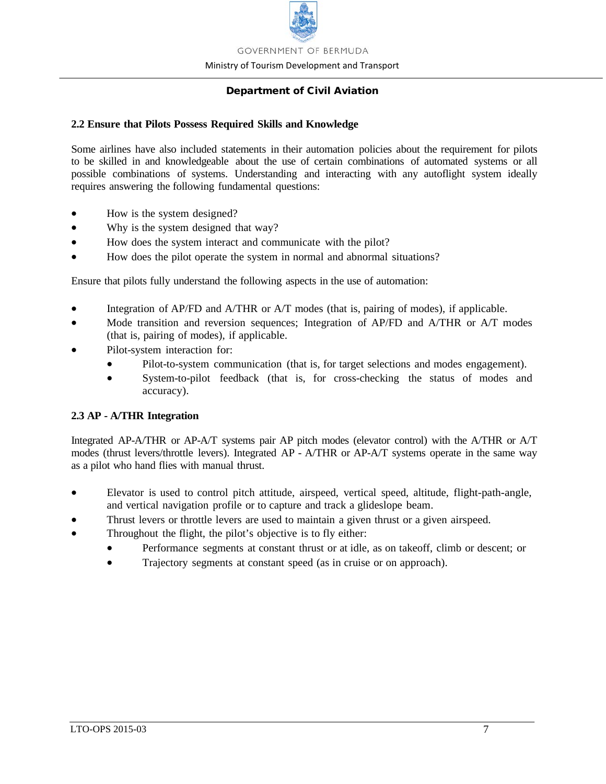

Ministry of Tourism Development and Transport

# Department of Civil Aviation

### **2.2 Ensure that Pilots Possess Required Skills and Knowledge**

Some airlines have also included statements in their automation policies about the requirement for pilots to be skilled in and knowledgeable about the use of certain combinations of automated systems or all possible combinations of systems. Understanding and interacting with any autoflight system ideally requires answering the following fundamental questions:

- How is the system designed?
- Why is the system designed that way?
- How does the system interact and communicate with the pilot?
- How does the pilot operate the system in normal and abnormal situations?

Ensure that pilots fully understand the following aspects in the use of automation:

- Integration of AP/FD and A/THR or A/T modes (that is, pairing of modes), if applicable.
- Mode transition and reversion sequences; Integration of AP/FD and A/THR or A/T modes (that is, pairing of modes), if applicable.
- Pilot-system interaction for:
	- Pilot-to-system communication (that is, for target selections and modes engagement).
	- System-to-pilot feedback (that is, for cross-checking the status of modes and accuracy).

# **2.3 AP - A/THR Integration**

Integrated AP-A/THR or AP-A/T systems pair AP pitch modes (elevator control) with the A/THR or A/T modes (thrust levers/throttle levers). Integrated AP - A/THR or AP-A/T systems operate in the same way as a pilot who hand flies with manual thrust.

- Elevator is used to control pitch attitude, airspeed, vertical speed, altitude, flight-path-angle, and vertical navigation profile or to capture and track a glideslope beam.
- Thrust levers or throttle levers are used to maintain a given thrust or a given airspeed.
- Throughout the flight, the pilot's objective is to fly either:
	- Performance segments at constant thrust or at idle, as on takeoff, climb or descent; or
	- Trajectory segments at constant speed (as in cruise or on approach).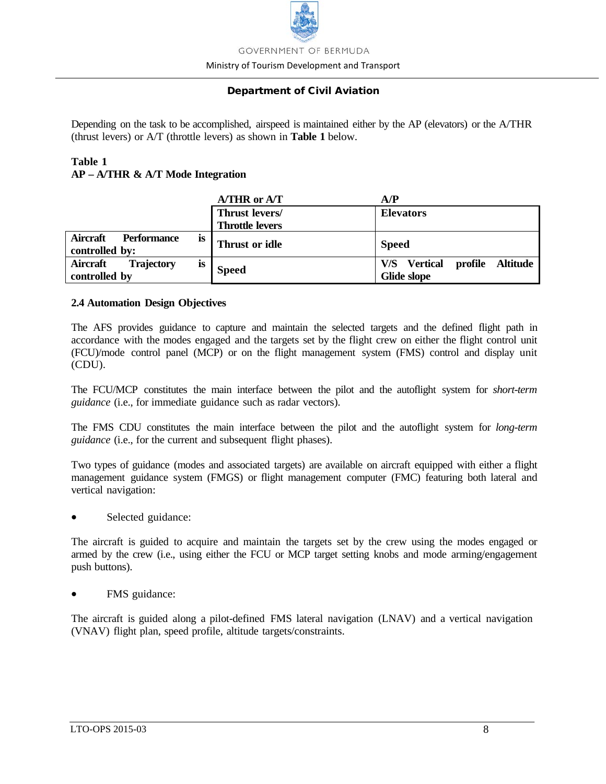

Ministry of Tourism Development and Transport

# Department of Civil Aviation

Depending on the task to be accomplished, airspeed is maintained either by the AP (elevators) or the A/THR (thrust levers) or A/T (throttle levers) as shown in **Table 1** below.

# **Table 1 AP – A/THR & A/T Mode Integration**

|                                                   | A/THR or A/T           | A/P                                        |
|---------------------------------------------------|------------------------|--------------------------------------------|
|                                                   | Thrust levers/         | <b>Elevators</b>                           |
|                                                   | <b>Throttle levers</b> |                                            |
| Aircraft<br>Performance<br><b>is</b>              | Thrust or idle         | <b>Speed</b>                               |
| controlled by:                                    |                        |                                            |
| <b>Aircraft</b><br><b>Trajectory</b><br><b>is</b> | <b>Speed</b>           | profile Altitude<br><b>Vertical</b><br>V/S |
| controlled by                                     |                        | Glide slope                                |

# **2.4 Automation Design Objectives**

The AFS provides guidance to capture and maintain the selected targets and the defined flight path in accordance with the modes engaged and the targets set by the flight crew on either the flight control unit (FCU)/mode control panel (MCP) or on the flight management system (FMS) control and display unit (CDU).

The FCU/MCP constitutes the main interface between the pilot and the autoflight system for *short-term guidance* (i.e., for immediate guidance such as radar vectors).

The FMS CDU constitutes the main interface between the pilot and the autoflight system for *long-term guidance* (i.e., for the current and subsequent flight phases).

Two types of guidance (modes and associated targets) are available on aircraft equipped with either a flight management guidance system (FMGS) or flight management computer (FMC) featuring both lateral and vertical navigation:

Selected guidance:

The aircraft is guided to acquire and maintain the targets set by the crew using the modes engaged or armed by the crew (i.e., using either the FCU or MCP target setting knobs and mode arming/engagement push buttons).

FMS guidance:

The aircraft is guided along a pilot-defined FMS lateral navigation (LNAV) and a vertical navigation (VNAV) flight plan, speed profile, altitude targets/constraints.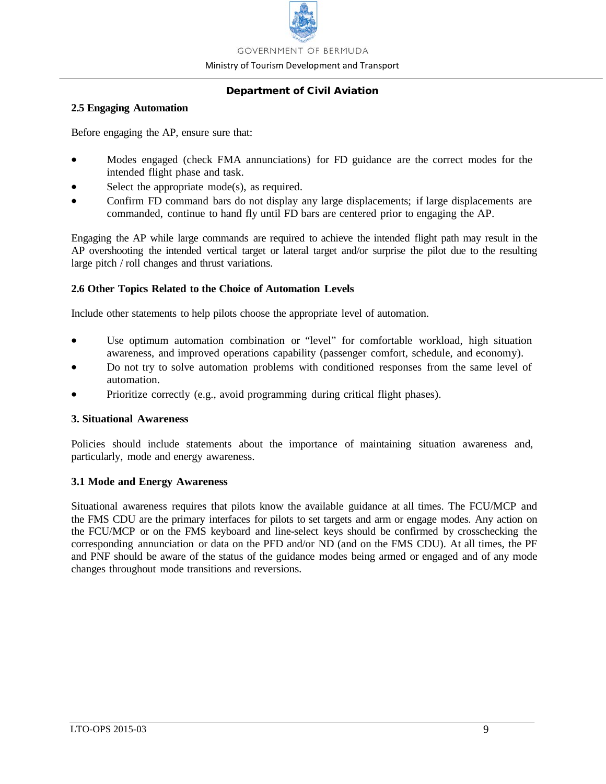

Ministry of Tourism Development and Transport

# Department of Civil Aviation

### **2.5 Engaging Automation**

Before engaging the AP, ensure sure that:

- Modes engaged (check FMA annunciations) for FD guidance are the correct modes for the intended flight phase and task.
- Select the appropriate  $mode(s)$ , as required.
- Confirm FD command bars do not display any large displacements; if large displacements are commanded, continue to hand fly until FD bars are centered prior to engaging the AP.

Engaging the AP while large commands are required to achieve the intended flight path may result in the AP overshooting the intended vertical target or lateral target and/or surprise the pilot due to the resulting large pitch / roll changes and thrust variations.

# **2.6 Other Topics Related to the Choice of Automation Levels**

Include other statements to help pilots choose the appropriate level of automation.

- Use optimum automation combination or "level" for comfortable workload, high situation awareness, and improved operations capability (passenger comfort, schedule, and economy).
- Do not try to solve automation problems with conditioned responses from the same level of automation.
- Prioritize correctly (e.g., avoid programming during critical flight phases).

# **3. Situational Awareness**

Policies should include statements about the importance of maintaining situation awareness and, particularly, mode and energy awareness.

# **3.1 Mode and Energy Awareness**

Situational awareness requires that pilots know the available guidance at all times. The FCU/MCP and the FMS CDU are the primary interfaces for pilots to set targets and arm or engage modes. Any action on the FCU/MCP or on the FMS keyboard and line-select keys should be confirmed by crosschecking the corresponding annunciation or data on the PFD and/or ND (and on the FMS CDU). At all times, the PF and PNF should be aware of the status of the guidance modes being armed or engaged and of any mode changes throughout mode transitions and reversions.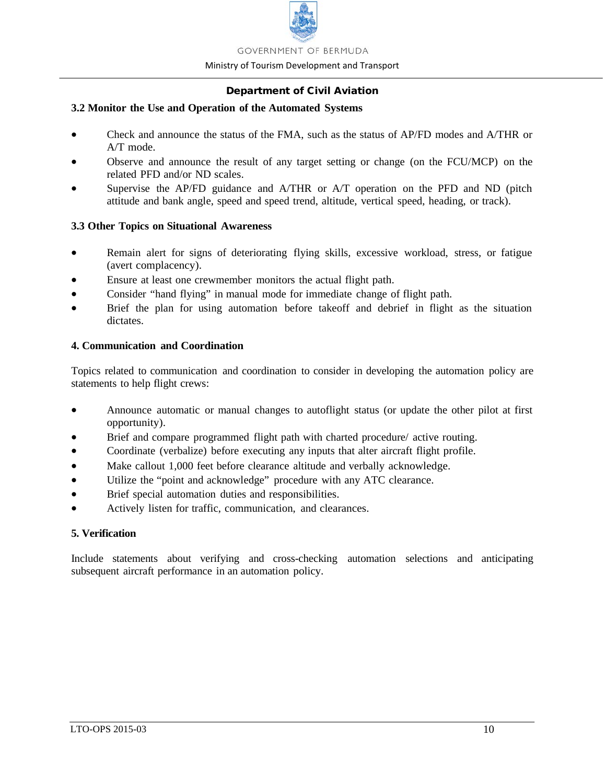

#### Ministry of Tourism Development and Transport

# Department of Civil Aviation

# **3.2 Monitor the Use and Operation of the Automated Systems**

- Check and announce the status of the FMA, such as the status of AP/FD modes and A/THR or A/T mode.
- Observe and announce the result of any target setting or change (on the FCU/MCP) on the related PFD and/or ND scales.
- Supervise the AP/FD guidance and A/THR or A/T operation on the PFD and ND (pitch attitude and bank angle, speed and speed trend, altitude, vertical speed, heading, or track).

# **3.3 Other Topics on Situational Awareness**

- Remain alert for signs of deteriorating flying skills, excessive workload, stress, or fatigue (avert complacency).
- Ensure at least one crewmember monitors the actual flight path.
- Consider "hand flying" in manual mode for immediate change of flight path.
- Brief the plan for using automation before takeoff and debrief in flight as the situation dictates.

# **4. Communication and Coordination**

Topics related to communication and coordination to consider in developing the automation policy are statements to help flight crews:

- Announce automatic or manual changes to autoflight status (or update the other pilot at first opportunity).
- Brief and compare programmed flight path with charted procedure/ active routing.
- Coordinate (verbalize) before executing any inputs that alter aircraft flight profile.
- Make callout 1,000 feet before clearance altitude and verbally acknowledge.
- Utilize the "point and acknowledge" procedure with any ATC clearance.
- Brief special automation duties and responsibilities.
- Actively listen for traffic, communication, and clearances.

# **5. Verification**

Include statements about verifying and cross-checking automation selections and anticipating subsequent aircraft performance in an automation policy.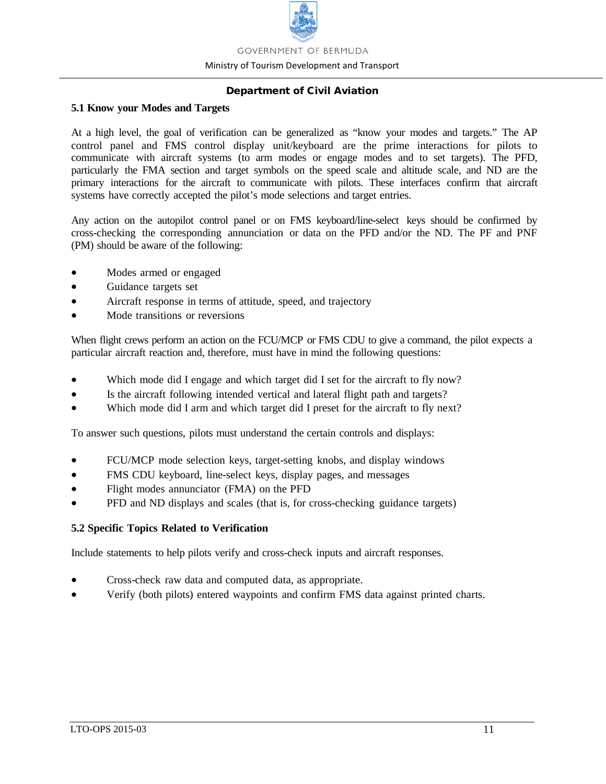

Ministry of Tourism Development and Transport

# Department of Civil Aviation

### **5.1 Know your Modes and Targets**

At a high level, the goal of verification can be generalized as "know your modes and targets." The AP control panel and FMS control display unit/keyboard are the prime interactions for pilots to communicate with aircraft systems (to arm modes or engage modes and to set targets). The PFD, particularly the FMA section and target symbols on the speed scale and altitude scale, and ND are the primary interactions for the aircraft to communicate with pilots. These interfaces confirm that aircraft systems have correctly accepted the pilot's mode selections and target entries.

Any action on the autopilot control panel or on FMS keyboard/line-select keys should be confirmed by cross-checking the corresponding annunciation or data on the PFD and/or the ND. The PF and PNF (PM) should be aware of the following:

- Modes armed or engaged
- Guidance targets set
- Aircraft response in terms of attitude, speed, and trajectory
- Mode transitions or reversions

When flight crews perform an action on the FCU/MCP or FMS CDU to give a command, the pilot expects a particular aircraft reaction and, therefore, must have in mind the following questions:

- Which mode did I engage and which target did I set for the aircraft to fly now?
- Is the aircraft following intended vertical and lateral flight path and targets?
- Which mode did I arm and which target did I preset for the aircraft to fly next?

To answer such questions, pilots must understand the certain controls and displays:

- FCU/MCP mode selection keys, target-setting knobs, and display windows
- FMS CDU keyboard, line-select keys, display pages, and messages
- Flight modes annunciator (FMA) on the PFD
- PFD and ND displays and scales (that is, for cross-checking guidance targets)

# **5.2 Specific Topics Related to Verification**

Include statements to help pilots verify and cross-check inputs and aircraft responses.

- Cross-check raw data and computed data, as appropriate.
- Verify (both pilots) entered waypoints and confirm FMS data against printed charts.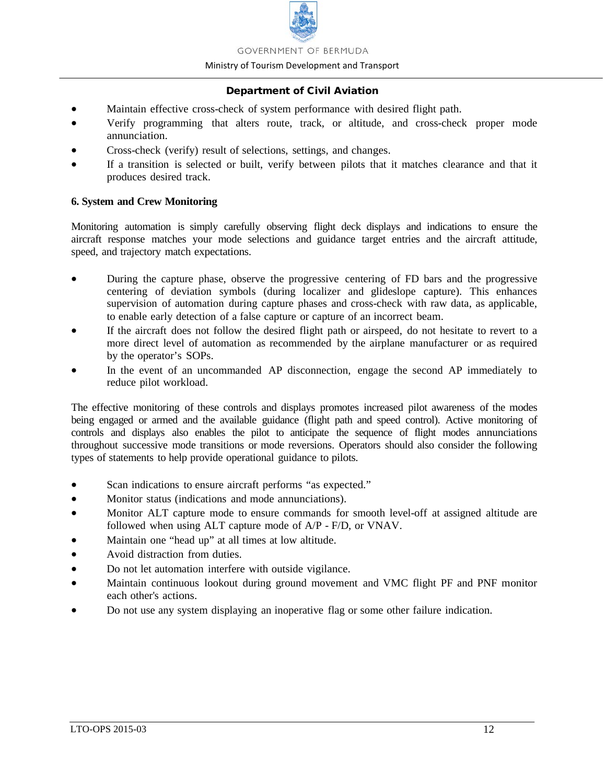

#### Ministry of Tourism Development and Transport

# Department of Civil Aviation

- Maintain effective cross-check of system performance with desired flight path.
- Verify programming that alters route, track, or altitude, and cross-check proper mode annunciation.
- Cross-check (verify) result of selections, settings, and changes.
- If a transition is selected or built, verify between pilots that it matches clearance and that it produces desired track.

# **6. System and Crew Monitoring**

Monitoring automation is simply carefully observing flight deck displays and indications to ensure the aircraft response matches your mode selections and guidance target entries and the aircraft attitude, speed, and trajectory match expectations.

- During the capture phase, observe the progressive centering of FD bars and the progressive centering of deviation symbols (during localizer and glideslope capture). This enhances supervision of automation during capture phases and cross-check with raw data, as applicable, to enable early detection of a false capture or capture of an incorrect beam.
- If the aircraft does not follow the desired flight path or airspeed, do not hesitate to revert to a more direct level of automation as recommended by the airplane manufacturer or as required by the operator's SOPs.
- In the event of an uncommanded AP disconnection, engage the second AP immediately to reduce pilot workload.

The effective monitoring of these controls and displays promotes increased pilot awareness of the modes being engaged or armed and the available guidance (flight path and speed control). Active monitoring of controls and displays also enables the pilot to anticipate the sequence of flight modes annunciations throughout successive mode transitions or mode reversions. Operators should also consider the following types of statements to help provide operational guidance to pilots.

- Scan indications to ensure aircraft performs "as expected."
- Monitor status (indications and mode annunciations).
- Monitor ALT capture mode to ensure commands for smooth level-off at assigned altitude are followed when using ALT capture mode of A/P - F/D, or VNAV.
- Maintain one "head up" at all times at low altitude.
- Avoid distraction from duties.
- Do not let automation interfere with outside vigilance.
- Maintain continuous lookout during ground movement and VMC flight PF and PNF monitor each other's actions.
- Do not use any system displaying an inoperative flag or some other failure indication.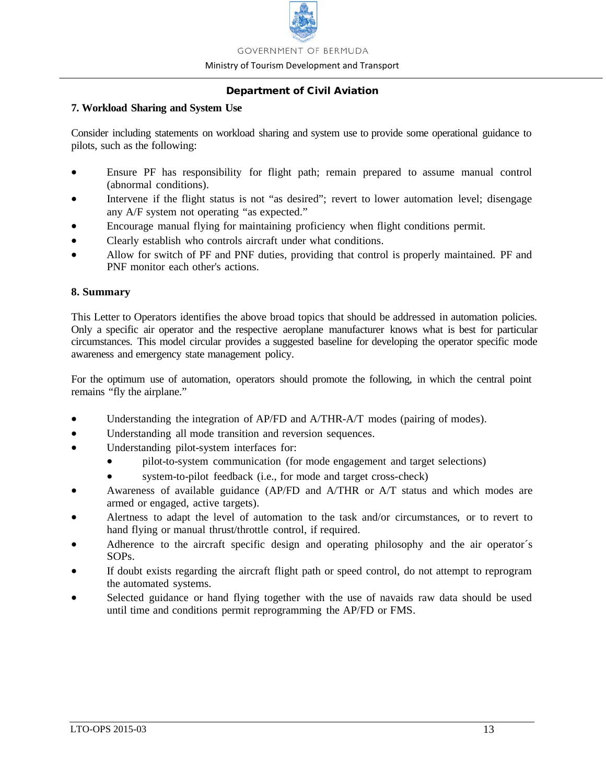

Ministry of Tourism Development and Transport

# Department of Civil Aviation

### **7. Workload Sharing and System Use**

Consider including statements on workload sharing and system use to provide some operational guidance to pilots, such as the following:

- Ensure PF has responsibility for flight path; remain prepared to assume manual control (abnormal conditions).
- Intervene if the flight status is not "as desired"; revert to lower automation level; disengage any A/F system not operating "as expected."
- Encourage manual flying for maintaining proficiency when flight conditions permit.
- Clearly establish who controls aircraft under what conditions.
- Allow for switch of PF and PNF duties, providing that control is properly maintained. PF and PNF monitor each other's actions.

# **8. Summary**

This Letter to Operators identifies the above broad topics that should be addressed in automation policies. Only a specific air operator and the respective aeroplane manufacturer knows what is best for particular circumstances. This model circular provides a suggested baseline for developing the operator specific mode awareness and emergency state management policy.

For the optimum use of automation, operators should promote the following, in which the central point remains "fly the airplane."

- Understanding the integration of AP/FD and A/THR-A/T modes (pairing of modes).
- Understanding all mode transition and reversion sequences.
- Understanding pilot-system interfaces for:
	- pilot-to-system communication (for mode engagement and target selections)
	- system-to-pilot feedback (i.e., for mode and target cross-check)
- Awareness of available guidance (AP/FD and A/THR or A/T status and which modes are armed or engaged, active targets).
- Alertness to adapt the level of automation to the task and/or circumstances, or to revert to hand flying or manual thrust/throttle control, if required.
- Adherence to the aircraft specific design and operating philosophy and the air operator's SOPs.
- If doubt exists regarding the aircraft flight path or speed control, do not attempt to reprogram the automated systems.
- Selected guidance or hand flying together with the use of navaids raw data should be used until time and conditions permit reprogramming the AP/FD or FMS.